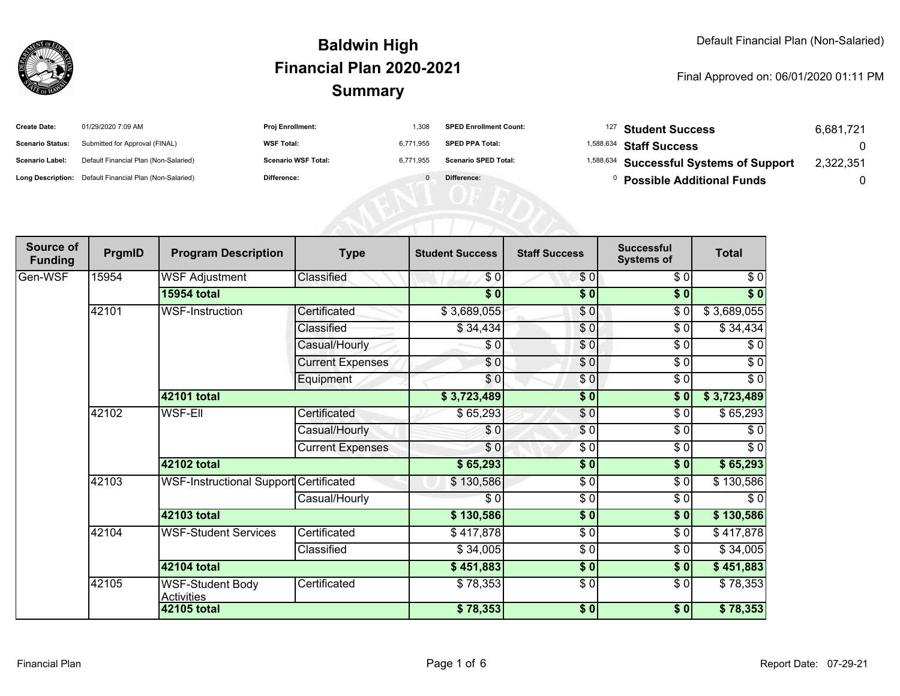

| <b>Create Date:</b>     | 01/29/2020 7:09 AM                                      | <b>Proj Enrollment:</b>    | 1.308     | <b>SPED Enrollment Count:</b> | <sup>127</sup> Student Success                     | 6,681,721 |
|-------------------------|---------------------------------------------------------|----------------------------|-----------|-------------------------------|----------------------------------------------------|-----------|
| <b>Scenario Status:</b> | Submitted for Approval (FINAL)                          | <b>WSF Total:</b>          | 6.771.955 | <b>SPED PPA Total:</b>        | <sup>1,588,634</sup> Staff Success                 |           |
| <b>Scenario Label:</b>  | Default Financial Plan (Non-Salaried)                   | <b>Scenario WSF Total:</b> | 6.771.955 | <b>Scenario SPED Total:</b>   | <sup>1,588,634</sup> Successful Systems of Support | 2.322.351 |
|                         | Long Description: Default Financial Plan (Non-Salaried) | <b>Difference:</b>         |           | Difference:                   | <b>Possible Additional Funds</b>                   |           |

| Source of<br><b>Funding</b> | PrgmID | <b>Program Description</b>                   | <b>Type</b>             | <b>Student Success</b> | <b>Staff Success</b> | <b>Successful</b><br><b>Systems of</b> | <b>Total</b> |
|-----------------------------|--------|----------------------------------------------|-------------------------|------------------------|----------------------|----------------------------------------|--------------|
| Gen-WSF                     | 15954  | <b>WSF Adjustment</b>                        | Classified              | \$0                    | \$0                  | \$0                                    | \$0          |
|                             |        | 15954 total                                  |                         | $\sqrt{6}$             | \$0                  | \$0                                    | $\sqrt[6]{}$ |
|                             | 42101  | WSF-Instruction                              | Certificated            | \$3,689,055            | $\frac{6}{3}$        | $\frac{6}{6}$                          | \$3,689,055  |
|                             |        |                                              | Classified              | \$34,434               | \$0                  | $\sqrt{6}$                             | \$34,434     |
|                             |        |                                              | Casual/Hourly           | \$0                    | \$0                  | \$0                                    | \$0          |
|                             |        |                                              | <b>Current Expenses</b> | \$0                    | $\frac{6}{6}$        | $\frac{6}{6}$                          | $\sqrt{6}$   |
|                             |        |                                              | Equipment               | \$0                    | \$0                  | \$0                                    | $\sqrt{6}$   |
|                             |        | 42101 total                                  |                         | \$3,723,489            | \$0                  | \$0                                    | \$3,723,489  |
|                             | 42102  | WSF-Ell                                      | Certificated            | \$65,293               | \$0                  | \$0                                    | \$65,293     |
|                             |        |                                              | Casual/Hourly           | \$0                    | $\overline{\$0}$     | \$0                                    | \$0          |
|                             |        |                                              | <b>Current Expenses</b> | \$0                    | \$0                  | \$0                                    | \$0          |
|                             |        | 42102 total                                  |                         | \$65,293               | \$0                  | \$0                                    | \$65,293     |
|                             | 42103  | WSF-Instructional Support Certificated       |                         | \$130,586              | $\frac{6}{6}$        | $\sqrt{6}$                             | \$130,586    |
|                             |        |                                              | Casual/Hourly           | \$0                    | $\frac{3}{2}$        | \$0                                    | $\sqrt{6}$   |
|                             |        | 42103 total                                  |                         | \$130,586              | \$0                  | \$0                                    | \$130,586    |
|                             | 42104  | <b>WSF-Student Services</b>                  | Certificated            | \$417,878              | $\frac{6}{6}$        | $\sqrt{6}$                             | \$417,878    |
|                             |        |                                              | Classified              | \$34,005               | $\frac{3}{2}$        | $\sqrt{6}$                             | \$34,005     |
|                             |        | 42104 total                                  |                         | \$451,883              | $\frac{1}{2}$        | \$0                                    | \$451,883    |
|                             | 42105  | <b>WSF-Student Body</b><br><b>Activities</b> | Certificated            | \$78,353               | $\frac{6}{6}$        | $\sqrt{6}$                             | \$78,353     |
|                             |        | 42105 total                                  |                         | \$78,353               | \$0                  | \$0                                    | \$78,353     |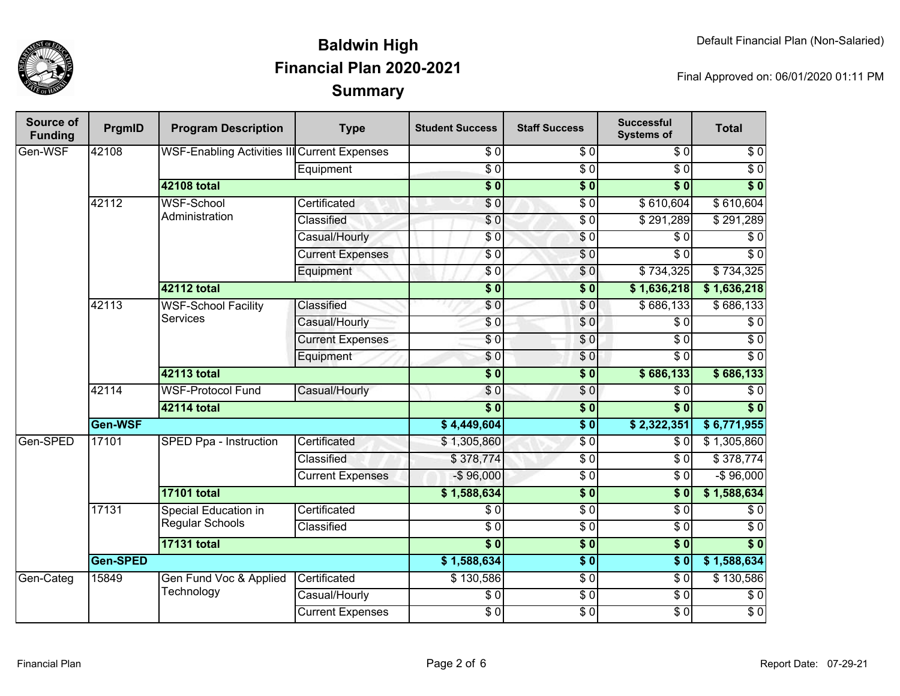

| <b>Source of</b><br><b>Funding</b> | PrgmID          | <b>Program Description</b>                          | <b>Type</b>             | <b>Student Success</b> | <b>Staff Success</b> | <b>Successful</b><br><b>Systems of</b> | <b>Total</b>     |
|------------------------------------|-----------------|-----------------------------------------------------|-------------------------|------------------------|----------------------|----------------------------------------|------------------|
| Gen-WSF                            | 42108           | <b>WSF-Enabling Activities III</b> Current Expenses |                         | \$0                    | \$0                  | \$0                                    | \$0              |
|                                    |                 |                                                     | Equipment               | $\overline{\$0}$       | $\overline{\$0}$     | $\overline{30}$                        | $\overline{30}$  |
|                                    |                 | <b>42108 total</b>                                  |                         | $\overline{\$0}$       | $\overline{\$0}$     | $\overline{\$0}$                       | $\overline{\$}0$ |
|                                    | 42112           | <b>WSF-School</b>                                   | Certificated            | \$0                    | $\overline{\$0}$     | \$610,604                              | \$610,604        |
|                                    |                 | Administration                                      | Classified              | $\overline{\$0}$       | $\overline{30}$      | \$291,289                              | \$291,289        |
|                                    |                 |                                                     | Casual/Hourly           | \$0                    | $\sqrt{6}$           | \$0                                    | $\overline{\$0}$ |
|                                    |                 |                                                     | <b>Current Expenses</b> | $\sqrt{6}$             | $\sqrt{6}$           | $\overline{30}$                        | $\sqrt{6}$       |
|                                    |                 |                                                     | Equipment               | \$0                    | \$0                  | \$734,325                              | \$734,325        |
|                                    |                 | <b>42112 total</b>                                  |                         | $\overline{\$0}$       | $\overline{\$0}$     | \$1,636,218                            | \$1,636,218      |
|                                    | 42113           | <b>WSF-School Facility</b>                          | Classified              | $\overline{\$0}$       | \$0                  | \$686,133                              | \$686,133        |
|                                    |                 | <b>Services</b>                                     | Casual/Hourly           | \$0                    | $\sqrt{0}$           | $\overline{\$0}$                       | $\overline{30}$  |
|                                    |                 |                                                     | <b>Current Expenses</b> | $\sqrt{6}$             | \$0                  | $\overline{\$0}$                       | $\sqrt{6}$       |
|                                    |                 |                                                     | Equipment               | \$0                    | \$0                  | $\overline{\$0}$                       | $\overline{30}$  |
|                                    |                 | <b>42113 total</b>                                  |                         | $\overline{\$0}$       | $\overline{\$0}$     | \$686,133                              | \$686,133        |
|                                    | 42114           | <b>WSF-Protocol Fund</b>                            | Casual/Hourly           | \$0                    | $\sqrt{0}$           | $\overline{30}$                        | $\overline{30}$  |
|                                    |                 | <b>42114 total</b>                                  |                         | $\overline{\$0}$       | $\overline{\$0}$     | $\overline{\$0}$                       | $\overline{\$}0$ |
|                                    | Gen-WSF         |                                                     |                         | \$4,449,604            | $\overline{\$0}$     | \$2,322,351                            | \$6,771,955      |
| Gen-SPED                           | 17101           | SPED Ppa - Instruction                              | Certificated            | \$1,305,860            | $\sqrt{6}$           | \$0                                    | \$1,305,860      |
|                                    |                 |                                                     | Classified              | \$378,774              | $\overline{\$0}$     | \$0                                    | \$378,774        |
|                                    |                 |                                                     | <b>Current Expenses</b> | $-$96,000$             | $\overline{\$0}$     | $\overline{\$0}$                       | $-$96,000$       |
|                                    |                 | <b>17101 total</b>                                  |                         | \$1,588,634            | $\overline{\$0}$     | $\overline{\$0}$                       | \$1,588,634      |
|                                    | 17131           | Special Education in                                | Certificated            | \$0                    | $\overline{\$0}$     | $\overline{\$0}$                       | \$0              |
|                                    |                 | Regular Schools                                     | Classified              | $\overline{\$0}$       | $\overline{30}$      | $\overline{\$0}$                       | $\overline{30}$  |
|                                    |                 | <b>17131 total</b>                                  |                         | $\overline{\$0}$       | $\overline{\$0}$     | $\overline{\$0}$                       | $\overline{\$0}$ |
|                                    | <b>Gen-SPED</b> |                                                     | \$1,588,634             | $\overline{\$0}$       | $\overline{\$0}$     | \$1,588,634                            |                  |
| Gen-Categ                          | 15849           | Gen Fund Voc & Applied                              | Certificated            | \$130,586              | $\overline{\$0}$     | $\overline{\$0}$                       | \$130,586        |
|                                    |                 | Technology                                          | Casual/Hourly           | $\sqrt{6}$             | $\overline{30}$      | $\overline{30}$                        | $\sqrt{6}$       |
|                                    |                 |                                                     | <b>Current Expenses</b> | $\overline{\$0}$       | $\sqrt{6}$           | $\overline{30}$                        | $\sqrt{6}$       |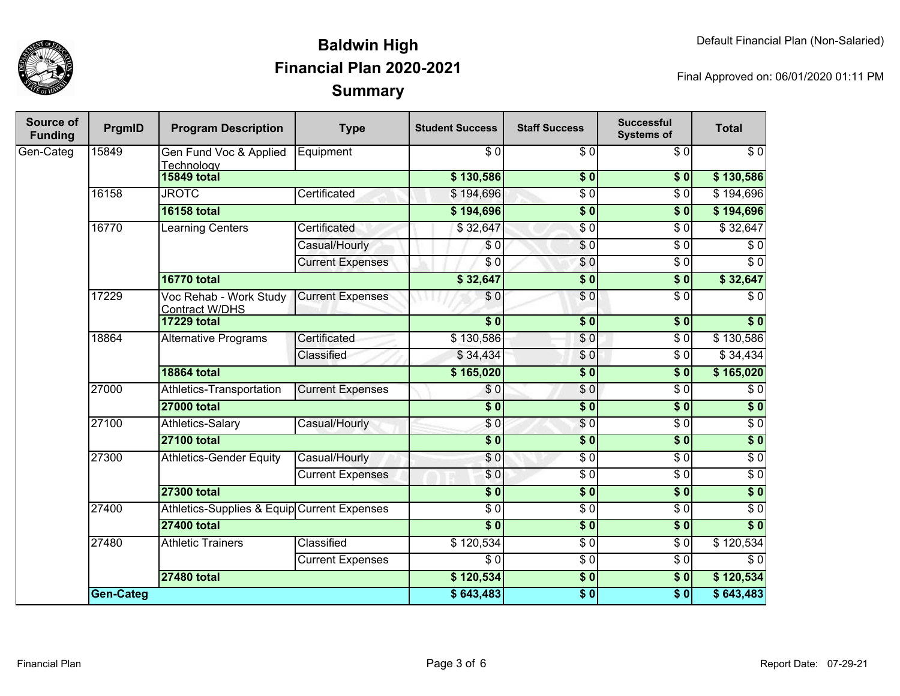

| <b>Source of</b><br><b>Funding</b> | PrgmID           | <b>Program Description</b>                      | <b>Type</b>             | <b>Student Success</b> | <b>Staff Success</b> | <b>Successful</b><br><b>Systems of</b> | <b>Total</b>     |
|------------------------------------|------------------|-------------------------------------------------|-------------------------|------------------------|----------------------|----------------------------------------|------------------|
| Gen-Categ                          | 15849            | Gen Fund Voc & Applied<br>Technology            | Equipment               | $\overline{S}0$        | $\overline{S}0$      | $\overline{S}0$                        | $\overline{\$0}$ |
|                                    |                  | <b>15849 total</b>                              |                         | \$130,586              | \$0                  | $\overline{\textbf{50}}$               | \$130,586        |
|                                    | 16158            | <b>JROTC</b>                                    | Certificated            | \$194,696              | $\overline{\$0}$     | $\overline{\$0}$                       | \$194,696        |
|                                    |                  | <b>16158 total</b>                              |                         | \$194,696              | $\overline{\$0}$     | $\overline{\$0}$                       | \$194,696        |
|                                    | 16770            | <b>Learning Centers</b>                         | Certificated            | \$32,647               | $\overline{\$0}$     | $\overline{\$0}$                       | \$32,647         |
|                                    |                  |                                                 | Casual/Hourly           | \$0                    | $\overline{\$0}$     | $\overline{\$0}$                       | $\overline{\$0}$ |
|                                    |                  |                                                 | <b>Current Expenses</b> | \$0                    | $\overline{S}0$      | $\overline{\$0}$                       | $\overline{\$0}$ |
|                                    |                  | <b>16770 total</b>                              |                         | \$32,647               | $\overline{\$0}$     | \$0                                    | \$32,647         |
|                                    | 17229            | Voc Rehab - Work Study<br><b>Contract W/DHS</b> | <b>Current Expenses</b> | \$0                    | $\overline{\$0}$     | $\overline{\$0}$                       | $\overline{\$0}$ |
|                                    |                  | <b>17229 total</b>                              |                         | $\overline{\$0}$       | $\overline{\$0}$     | $\overline{\$0}$                       | $\overline{\$0}$ |
|                                    | 18864            | <b>Alternative Programs</b>                     | Certificated            | \$130,586              | \$0                  | \$0                                    | \$130,586        |
|                                    |                  |                                                 | Classified              | \$34,434               | \$0                  | $\sqrt{6}$                             | \$34,434         |
|                                    |                  | <b>18864 total</b>                              |                         | \$165,020              | $\overline{\$0}$     | $\overline{\$0}$                       | \$165,020        |
|                                    | 27000            | Athletics-Transportation                        | <b>Current Expenses</b> | \$0                    | \$0                  | $\sqrt{6}$                             | \$0              |
|                                    |                  | <b>27000 total</b>                              |                         | $\overline{\$0}$       | $\overline{\$0}$     | $\overline{\$0}$                       | $\sqrt{6}$       |
|                                    | 27100            | Athletics-Salary                                | Casual/Hourly           | \$0                    | \$0                  | $\overline{S}0$                        | $\sqrt{6}$       |
|                                    |                  | <b>27100 total</b>                              |                         | $\overline{\$}0$       | $\overline{\$0}$     | $\overline{\$0}$                       | \$0              |
|                                    | 27300            | <b>Athletics-Gender Equity</b>                  | Casual/Hourly           | \$0                    | $\sqrt{6}$           | $\sqrt{6}$                             | $\sqrt{6}$       |
|                                    |                  |                                                 | <b>Current Expenses</b> | \$0                    | $\overline{30}$      | $\sqrt{6}$                             | $\sqrt{6}$       |
|                                    |                  | <b>27300 total</b>                              |                         | $\overline{\$}0$       | $\overline{\$0}$     | $\overline{\$0}$                       | \$0              |
|                                    | 27400            | Athletics-Supplies & Equip Current Expenses     |                         | $\overline{\$0}$       | $\overline{30}$      | $\sqrt{6}$                             | $\sqrt{6}$       |
|                                    |                  | <b>27400 total</b>                              |                         | $\overline{\$0}$       | 50                   | $\sqrt{50}$                            | $\overline{\$0}$ |
|                                    | 27480            | <b>Athletic Trainers</b>                        | Classified              | \$120,534              | $\overline{30}$      | $\overline{S}0$                        | \$120,534        |
|                                    |                  |                                                 | <b>Current Expenses</b> | $\sqrt{6}$             | $\sqrt{6}$           | $\sqrt{6}$                             | $\sqrt{6}$       |
|                                    |                  | <b>27480 total</b>                              |                         | \$120,534              | $\overline{\$0}$     | $\overline{\$0}$                       | \$120,534        |
|                                    | <b>Gen-Categ</b> |                                                 |                         | \$643,483              | \$0                  | $\overline{\bullet}$                   | \$643,483        |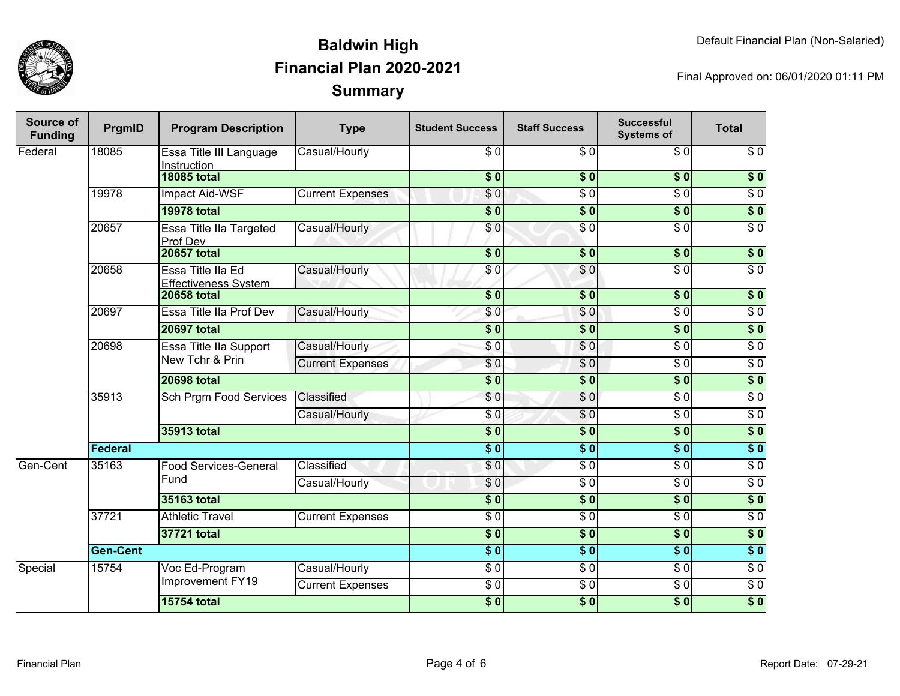

| <b>Source of</b><br><b>Funding</b> | PrgmID          | <b>Program Description</b>                       | <b>Type</b>             | <b>Student Success</b>    | <b>Staff Success</b> | <b>Successful</b><br><b>Systems of</b> | <b>Total</b>     |
|------------------------------------|-----------------|--------------------------------------------------|-------------------------|---------------------------|----------------------|----------------------------------------|------------------|
| Federal                            | 18085           | Essa Title III Language<br>Instruction           | Casual/Hourly           | \$0                       | \$0                  | \$0                                    | \$0              |
|                                    |                 | <b>18085 total</b>                               |                         | $\overline{\$}0$          | \$0                  | $\overline{\$0}$                       | $\overline{\$0}$ |
|                                    | 19978           | Impact Aid-WSF                                   | <b>Current Expenses</b> | $\sqrt{0}$                | $\overline{\$0}$     | $\overline{\$0}$                       | $\overline{30}$  |
|                                    |                 | <b>19978 total</b>                               |                         | $\overline{\textbf{S}^0}$ | $\overline{\$0}$     | $\overline{\$0}$                       | $\overline{\$0}$ |
|                                    | 20657           | Essa Title IIa Targeted<br>Prof Dev              | Casual/Hourly           | \$0                       | $\overline{\$0}$     | $\overline{\$0}$                       | $\overline{\$0}$ |
|                                    |                 | <b>20657 total</b>                               |                         | $\overline{\$0}$          | $\overline{\$0}$     | $\overline{\$0}$                       | \$0              |
|                                    | 20658           | Essa Title IIa Ed<br><b>Effectiveness System</b> | Casual/Hourly           | \$0                       | \$0                  | $\overline{\$0}$                       | $\sqrt{6}$       |
|                                    |                 | <b>20658 total</b>                               |                         | $\overline{\$0}$          | $\overline{\$0}$     | $\overline{\$0}$                       | $\overline{\$0}$ |
|                                    | 20697           | Essa Title IIa Prof Dev                          | Casual/Hourly           | $\overline{\$0}$          | \$0                  | $\overline{\$0}$                       | $\overline{\$0}$ |
|                                    |                 | <b>20697 total</b>                               |                         | $\overline{\$0}$          | $\overline{\$0}$     | $\overline{\$0}$                       | $\overline{\$0}$ |
|                                    | 20698           | <b>Essa Title IIa Support</b>                    | Casual/Hourly           | $\overline{\$0}$          | $\overline{S}0$      | $\overline{\$0}$                       | $\overline{50}$  |
|                                    |                 | New Tchr & Prin                                  | <b>Current Expenses</b> | \$0                       | $\overline{\$0}$     | $\overline{30}$                        | $\overline{\$0}$ |
|                                    |                 | <b>20698 total</b>                               |                         | $\overline{\$0}$          | $\overline{\$0}$     | $\overline{\$0}$                       | $\overline{\$0}$ |
|                                    | 35913           | Sch Prgm Food Services                           | Classified              | $\overline{30}$           | $\overline{\$0}$     | $\overline{30}$                        | $\overline{\$0}$ |
|                                    |                 |                                                  | Casual/Hourly           | $\overline{\$0}$          | $\overline{\$0}$     | $\overline{30}$                        | $\overline{50}$  |
|                                    |                 | <b>35913 total</b>                               |                         | $\overline{\$0}$          | $\overline{\$0}$     | $\overline{\$0}$                       | $\overline{\$0}$ |
|                                    | <b>Federal</b>  |                                                  |                         | $\overline{\$0}$          | $\overline{\$0}$     | $\overline{\$0}$                       | $\overline{\$0}$ |
| Gen-Cent                           | 35163           | Food Services-General                            | Classified              | \$0                       | $\overline{\$0}$     | $\overline{\$0}$                       | $\overline{\$0}$ |
|                                    |                 | Fund                                             | Casual/Hourly           | \$0                       | $\overline{\$0}$     | $\overline{\$0}$                       | $\overline{50}$  |
|                                    |                 | <b>35163 total</b>                               |                         | $\overline{\$0}$          | $\overline{\$0}$     | $\overline{\$0}$                       | $\overline{\$0}$ |
|                                    | 37721           | <b>Athletic Travel</b>                           | <b>Current Expenses</b> | $\overline{30}$           | $\sqrt{6}$           | $\overline{\$0}$                       | $\sqrt{6}$       |
|                                    |                 | <b>37721 total</b>                               |                         | $\overline{\$0}$          | $\overline{\$0}$     | $\overline{\$0}$                       | $\overline{\$0}$ |
|                                    | <b>Gen-Cent</b> |                                                  |                         | $\overline{\textbf{S}^0}$ | $\overline{\$0}$     | $\overline{\$0}$                       | $\overline{\$0}$ |
| Special                            | 15754           | Voc Ed-Program                                   | Casual/Hourly           | $\overline{\$0}$          | $\overline{\$0}$     | $\overline{30}$                        | $\overline{\$0}$ |
|                                    |                 | Improvement FY19                                 | <b>Current Expenses</b> | \$0                       | $\sqrt{6}$           | $\sqrt{6}$                             | $\sqrt{6}$       |
|                                    |                 | <b>15754 total</b>                               |                         | $\overline{\$0}$          | $\overline{\$0}$     | $\overline{\$0}$                       | $\overline{\$0}$ |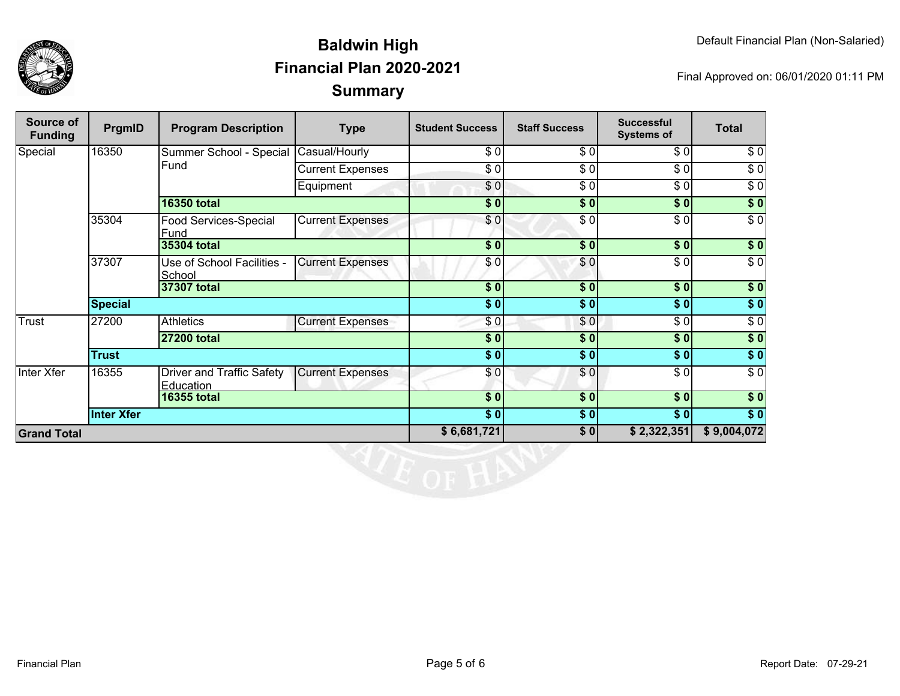

| Source of<br><b>Funding</b> | PrgmID            | <b>Program Description</b>             | <b>Type</b>             | <b>Student Success</b> | <b>Staff Success</b> | <b>Successful</b><br><b>Systems of</b> | <b>Total</b>     |
|-----------------------------|-------------------|----------------------------------------|-------------------------|------------------------|----------------------|----------------------------------------|------------------|
| Special                     | 16350             | Summer School - Special                | Casual/Hourly           | \$0                    | \$0                  | $\sqrt{6}$                             | \$0              |
|                             |                   | Fund                                   | <b>Current Expenses</b> | \$0                    | \$0                  | $\sqrt{3}$                             | $\sqrt{6}$       |
|                             |                   |                                        | Equipment               | \$0                    | \$0                  | \$0                                    | $\sqrt{6}$       |
|                             |                   | <b>16350 total</b>                     |                         | \$0                    | \$0                  | \$0                                    | $\sqrt{ }$       |
|                             | 35304             | Food Services-Special<br>Fund          | <b>Current Expenses</b> | \$0                    | \$0                  | \$0                                    | $\sqrt{6}$       |
|                             |                   | 35304 total                            |                         | $\sqrt{5}$             | \$0                  | $s$ <sub>0</sub>                       | $\sqrt{ }$       |
|                             | 37307             | Use of School Facilities -<br>School   | <b>Current Expenses</b> | \$0                    | \$0                  | $\overline{\$0}$                       | $\overline{\$}0$ |
|                             |                   | 37307 total                            |                         | $\overline{\$0}$       | $\sqrt{6}$           | \$0                                    | $\sqrt{6}$       |
|                             | <b>Special</b>    |                                        |                         | \$0                    | \$0                  | \$0                                    | \$0              |
| <b>Trust</b>                | 27200             | <b>Athletics</b>                       | <b>Current Expenses</b> | \$0                    | \$0                  | $\frac{1}{\sqrt{2}}$                   | $\sqrt{6}$       |
|                             |                   | <b>27200 total</b>                     |                         | $\overline{\$0}$       | \$0                  | $\frac{1}{2}$                          | \$0              |
|                             | <b>Trust</b>      |                                        |                         | $\frac{1}{2}$          | $\sqrt{6}$           | \$0]                                   | \$0              |
| Inter Xfer                  | 16355             | Driver and Traffic Safety<br>Education | <b>Current Expenses</b> | \$0                    | $\sqrt{6}$           | $\sqrt{6}$                             | $\sqrt{6}$       |
|                             |                   | <b>16355 total</b>                     |                         | $\overline{\$0}$       | \$0                  | $\overline{\$0}$                       | $\sqrt{ }$       |
|                             | <b>Inter Xfer</b> |                                        |                         | $\overline{\$0}$       | \$0                  | $\overline{\$0}$                       | $\sqrt{ }$       |
| <b>Grand Total</b>          |                   |                                        |                         | \$6,681,721            | \$0                  | \$2,322,351                            | \$9,004,072      |